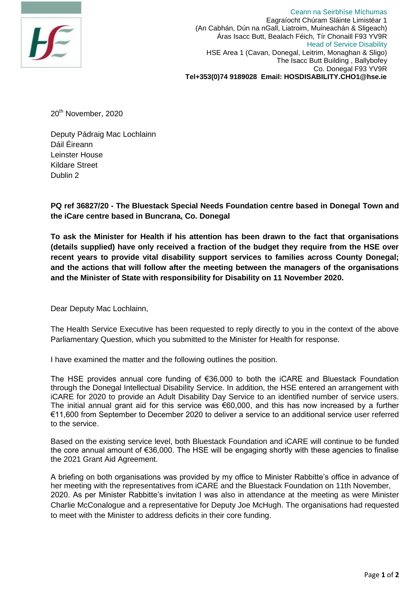

Ceann na Seirbhíse Míchumas Eagraíocht Chúram Sláinte Limistéar 1 (An Cabhán, Dún na nGall, Liatroim, Muineachán & Sligeach) Áras Isacc Butt, Bealach Féich, Tír Chonaill F93 YV9R Head of Service Disability HSE Area 1 (Cavan, Donegal, Leitrim, Monaghan & Sligo) The Isacc Butt Building , Ballybofey Co. Donegal F93 YV9R **Tel+353(0)74 9189028 Email: HOSDISABILITY.CHO1@hse.ie**

20<sup>th</sup> November, 2020

Deputy Pádraig Mac Lochlainn Dáil Éireann Leinster House Kildare Street Dublin 2

**PQ ref 36827/20 - The Bluestack Special Needs Foundation centre based in Donegal Town and the iCare centre based in Buncrana, Co. Donegal**

**To ask the Minister for Health if his attention has been drawn to the fact that organisations (details supplied) have only received a fraction of the budget they require from the HSE over recent years to provide vital disability support services to families across County Donegal; and the actions that will follow after the meeting between the managers of the organisations and the Minister of State with responsibility for Disability on 11 November 2020.**

Dear Deputy Mac Lochlainn,

The Health Service Executive has been requested to reply directly to you in the context of the above Parliamentary Question, which you submitted to the Minister for Health for response.

I have examined the matter and the following outlines the position.

The HSE provides annual core funding of €36,000 to both the iCARE and Bluestack Foundation through the Donegal Intellectual Disability Service. In addition, the HSE entered an arrangement with iCARE for 2020 to provide an Adult Disability Day Service to an identified number of service users. The initial annual grant aid for this service was €60,000, and this has now increased by a further €11,600 from September to December 2020 to deliver a service to an additional service user referred to the service.

Based on the existing service level, both Bluestack Foundation and iCARE will continue to be funded the core annual amount of €36,000. The HSE will be engaging shortly with these agencies to finalise the 2021 Grant Aid Agreement.

A briefing on both organisations was provided by my office to Minister Rabbitte's office in advance of her meeting with the representatives from iCARE and the Bluestack Foundation on 11th November, 2020. As per Minister Rabbitte's invitation I was also in attendance at the meeting as were Minister Charlie McConalogue and a representative for Deputy Joe McHugh. The organisations had requested to meet with the Minister to address deficits in their core funding.